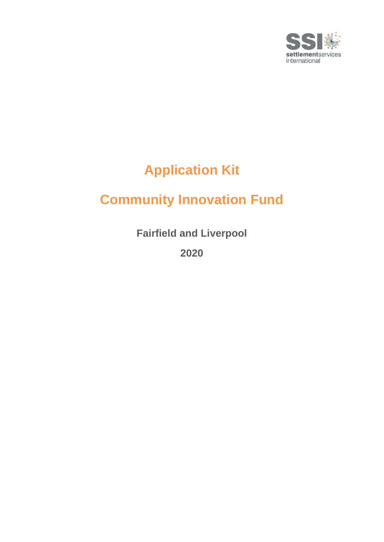

# **Application Kit**

## **Community Innovation Fund**

**Fairfield and Liverpool**

**2020**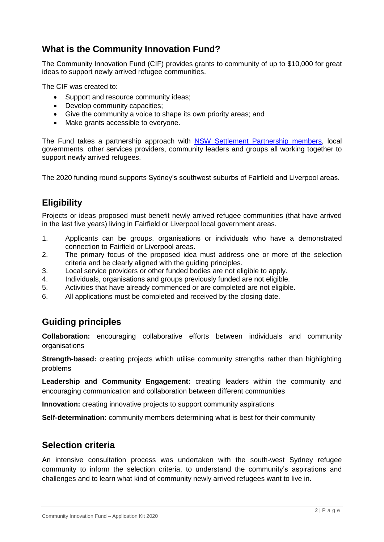### **What is the Community Innovation Fund?**

The Community Innovation Fund (CIF) provides grants to community of up to \$10,000 for great ideas to support newly arrived refugee communities.

The CIF was created to:

- Support and resource community ideas;
- Develop community capacities;
- Give the community a voice to shape its own priority areas; and
- Make grants accessible to everyone.

The Fund takes a partnership approach with [NSW Settlement Partnership members,](file://///ash-svr01/DataGroups-ASH/CE-General/+++CE%20PROGRAMS/Community%20Innovation%20Fund/3.%20ROUND%202/Applications/It%20relies%20on%20the%20community%20to%20shape%20its%20own%20priority%20areas%20and%20determine%20what%20projects%20will%20be%20delivered.%20All%20initiatives%20supported%20will%20be%20driven%20by%20the%20communities%20it%20serves%20to%20support.) local governments, other services providers, community leaders and groups all working together to support newly arrived refugees.

The 2020 funding round supports Sydney's southwest suburbs of Fairfield and Liverpool areas.

## **Eligibility**

Projects or ideas proposed must benefit newly arrived refugee communities (that have arrived in the last five years) living in Fairfield or Liverpool local government areas.

- 1. Applicants can be groups, organisations or individuals who have a demonstrated connection to Fairfield or Liverpool areas.
- 2. The primary focus of the proposed idea must address one or more of the selection criteria and be clearly aligned with the guiding principles.
- 3. Local service providers or other funded bodies are not eligible to apply.
- 4. Individuals, organisations and groups previously funded are not eligible.
- 5. Activities that have already commenced or are completed are not eligible.
- 6. All applications must be completed and received by the closing date.

## **Guiding principles**

**Collaboration:** encouraging collaborative efforts between individuals and community organisations

**Strength-based:** creating projects which utilise community strengths rather than highlighting problems

**Leadership and Community Engagement:** creating leaders within the community and encouraging communication and collaboration between different communities

**Innovation:** creating innovative projects to support community aspirations

**Self-determination:** community members determining what is best for their community

#### **Selection criteria**

An intensive consultation process was undertaken with the south-west Sydney refugee community to inform the selection criteria, to understand the community's aspirations and challenges and to learn what kind of community newly arrived refugees want to live in.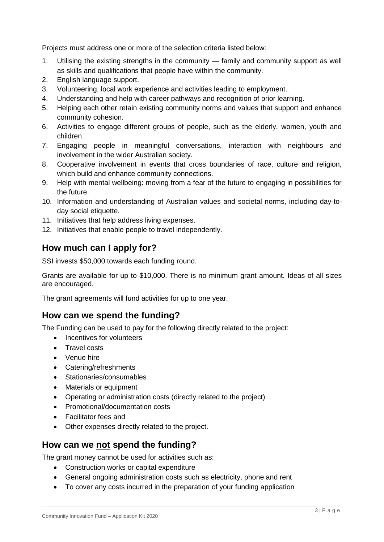Projects must address one or more of the selection criteria listed below:

- 1. Utilising the existing strengths in the community family and community support as well as skills and qualifications that people have within the community.
- 2. English language support.
- 3. Volunteering, local work experience and activities leading to employment.
- 4. Understanding and help with career pathways and recognition of prior learning.
- 5. Helping each other retain existing community norms and values that support and enhance community cohesion.
- 6. Activities to engage different groups of people, such as the elderly, women, youth and children.
- 7. Engaging people in meaningful conversations, interaction with neighbours and involvement in the wider Australian society.
- 8. Cooperative involvement in events that cross boundaries of race, culture and religion, which build and enhance community connections.
- 9. Help with mental wellbeing: moving from a fear of the future to engaging in possibilities for the future.
- 10. Information and understanding of Australian values and societal norms, including day-today social etiquette.
- 11. Initiatives that help address living expenses.
- 12. Initiatives that enable people to travel independently.

#### **How much can I apply for?**

SSI invests \$50,000 towards each funding round.

Grants are available for up to \$10,000. There is no minimum grant amount. Ideas of all sizes are encouraged.

The grant agreements will fund activities for up to one year.

#### **How can we spend the funding?**

The Funding can be used to pay for the following directly related to the project:

- Incentives for volunteers
- Travel costs
- Venue hire
- Catering/refreshments
- Stationaries/consumables
- Materials or equipment
- Operating or administration costs (directly related to the project)
- Promotional/documentation costs
- Facilitator fees and
- Other expenses directly related to the project.

#### **How can we not spend the funding?**

The grant money cannot be used for activities such as:

- Construction works or capital expenditure
- General ongoing administration costs such as electricity, phone and rent
- To cover any costs incurred in the preparation of your funding application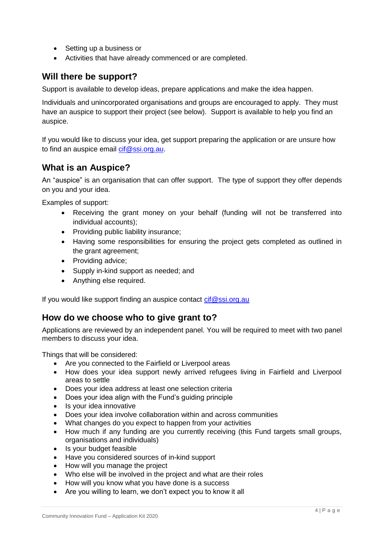- Setting up a business or
- Activities that have already commenced or are completed.

#### **Will there be support?**

Support is available to develop ideas, prepare applications and make the idea happen.

Individuals and unincorporated organisations and groups are encouraged to apply. They must have an auspice to support their project (see below). Support is available to help you find an auspice.

If you would like to discuss your idea, get support preparing the application or are unsure how to find an auspice email [cif@ssi.org.au.](mailto:cif@ssi.org.au)

#### **What is an Auspice?**

An "auspice" is an organisation that can offer support. The type of support they offer depends on you and your idea.

Examples of support:

- Receiving the grant money on your behalf (funding will not be transferred into individual accounts);
- Providing public liability insurance;
- Having some responsibilities for ensuring the project gets completed as outlined in the grant agreement;
- Providing advice;
- Supply in-kind support as needed; and
- Anything else required.

If you would like support finding an auspice contact [cif@ssi.org.au](mailto:cif@ssi.org.au)

#### **How do we choose who to give grant to?**

Applications are reviewed by an independent panel. You will be required to meet with two panel members to discuss your idea.

Things that will be considered:

- Are you connected to the Fairfield or Liverpool areas
- How does your idea support newly arrived refugees living in Fairfield and Liverpool areas to settle
- Does your idea address at least one selection criteria
- Does your idea align with the Fund's guiding principle
- Is your idea innovative
- Does your idea involve collaboration within and across communities
- What changes do you expect to happen from your activities
- How much if any funding are you currently receiving (this Fund targets small groups, organisations and individuals)
- Is your budget feasible
- Have you considered sources of in-kind support
- How will you manage the project
- Who else will be involved in the project and what are their roles
- How will you know what you have done is a success
- Are you willing to learn, we don't expect you to know it all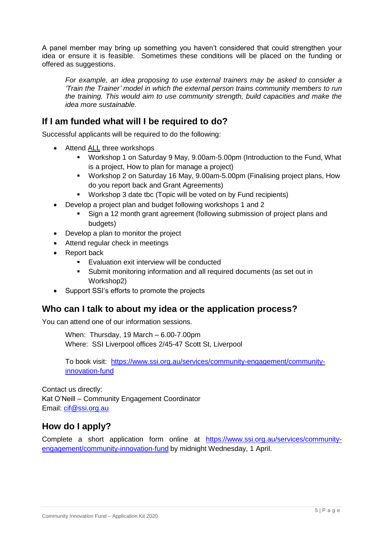A panel member may bring up something you haven't considered that could strengthen your idea or ensure it is feasible. Sometimes these conditions will be placed on the funding or offered as suggestions.

*For example, an idea proposing to use external trainers may be asked to consider a 'Train the Trainer' model in which the external person trains community members to run the training. This would aim to use community strength, build capacities and make the idea more sustainable.*

#### **If I am funded what will I be required to do?**

Successful applicants will be required to do the following:

- Attend ALL three workshops
	- Workshop 1 on Saturday 9 May, 9.00am-5.00pm (Introduction to the Fund, What is a project, How to plan for manage a project)
	- Workshop 2 on Saturday 16 May, 9.00am-5.00pm (Finalising project plans, How do you report back and Grant Agreements)
	- Workshop 3 date tbc (Topic will be voted on by Fund recipients)
- Develop a project plan and budget following workshops 1 and 2
	- Sign a 12 month grant agreement (following submission of project plans and budgets)
- Develop a plan to monitor the project
- Attend regular check in meetings
- Report back
	- Evaluation exit interview will be conducted
	- Submit monitoring information and all required documents (as set out in Workshop2)
- Support SSI's efforts to promote the projects

#### **Who can I talk to about my idea or the application process?**

You can attend one of our information sessions.

When: Thursday, 19 March – 6.00-7.00pm Where: SSI Liverpool offices 2/45-47 Scott St, Liverpool

To book visit: [https://www.ssi.org.au/services/community-engagement/community](https://www.ssi.org.au/services/community-engagement/community-innovation-fund)[innovation-fund](https://www.ssi.org.au/services/community-engagement/community-innovation-fund)

Contact us directly:

Kat O'Neill – Community Engagement Coordinator Email: [cif@ssi.org.au](mailto:cif@ssi.org.au) 

#### **How do I apply?**

Complete a short application form online at [https://www.ssi.org.au/services/community](https://www.ssi.org.au/services/community-engagement/community-innovation-fund)[engagement/community-innovation-fund](https://www.ssi.org.au/services/community-engagement/community-innovation-fund) by midnight Wednesday, 1 April.